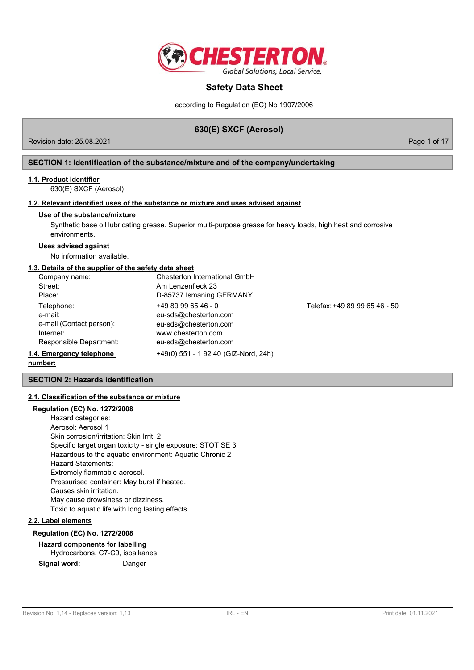

according to Regulation (EC) No 1907/2006

# **630(E) SXCF (Aerosol)**

Revision date: 25.08.2021 **Page 1 of 17** No. 2021

## **SECTION 1: Identification of the substance/mixture and of the company/undertaking**

## **1.1. Product identifier**

630(E) SXCF (Aerosol)

## **1.2. Relevant identified uses of the substance or mixture and uses advised against**

### **Use of the substance/mixture**

Synthetic base oil lubricating grease. Superior multi-purpose grease for heavy loads, high heat and corrosive environments.

## **Uses advised against**

No information available.

### **1.3. Details of the supplier of the safety data sheet**

| Company name:            | Chesterton International GmbH        |                               |
|--------------------------|--------------------------------------|-------------------------------|
| Street:                  | Am Lenzenfleck 23                    |                               |
| Place:                   | D-85737 Ismaning GERMANY             |                               |
| Telephone:               | $+4989996546 - 0$                    | Telefax: +49 89 99 65 46 - 50 |
| e-mail:                  | eu-sds@chesterton.com                |                               |
| e-mail (Contact person): | eu-sds@chesterton.com                |                               |
| Internet:                | www.chesterton.com                   |                               |
| Responsible Department:  | eu-sds@chesterton.com                |                               |
| 1.4. Emergency telephone | +49(0) 551 - 1 92 40 (GIZ-Nord, 24h) |                               |

#### **number:**

### **SECTION 2: Hazards identification**

### **2.1. Classification of the substance or mixture**

## **Regulation (EC) No. 1272/2008**

Hazard categories: Aerosol: Aerosol 1 Skin corrosion/irritation: Skin Irrit. 2 Specific target organ toxicity - single exposure: STOT SE 3 Hazardous to the aquatic environment: Aquatic Chronic 2 Hazard Statements: Extremely flammable aerosol. Pressurised container: May burst if heated. Causes skin irritation. May cause drowsiness or dizziness. Toxic to aquatic life with long lasting effects.

## **2.2. Label elements**

### **Regulation (EC) No. 1272/2008**

# **Hazard components for labelling**

Hydrocarbons, C7-C9, isoalkanes **Signal word:** Danger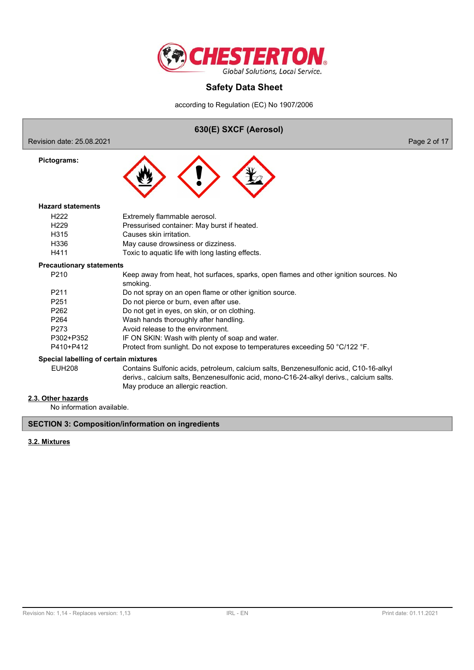

according to Regulation (EC) No 1907/2006

# **630(E) SXCF (Aerosol)**

Revision date: 25.08.2021 **Page 2 of 17** 

**Pictograms:**



#### **Hazard statements**

| H222             | Extremely flammable aerosol.                     |
|------------------|--------------------------------------------------|
| H <sub>229</sub> | Pressurised container: May burst if heated.      |
| H315             | Causes skin irritation.                          |
| H336             | May cause drowsiness or dizziness.               |
| H411             | Toxic to aquatic life with long lasting effects. |

## **Precautionary statements**

| Foundinary Statements |                                                                                                   |
|-----------------------|---------------------------------------------------------------------------------------------------|
| P <sub>210</sub>      | Keep away from heat, hot surfaces, sparks, open flames and other ignition sources. No<br>smoking. |
| P <sub>211</sub>      | Do not spray on an open flame or other ignition source.                                           |
| P <sub>251</sub>      | Do not pierce or burn, even after use.                                                            |
| P <sub>262</sub>      | Do not get in eyes, on skin, or on clothing.                                                      |
| P <sub>264</sub>      | Wash hands thoroughly after handling.                                                             |
| P273                  | Avoid release to the environment.                                                                 |
| P302+P352             | IF ON SKIN: Wash with plenty of soap and water.                                                   |
| P410+P412             | Protect from sunlight. Do not expose to temperatures exceeding 50 °C/122 °F.                      |
|                       |                                                                                                   |

### **Special labelling of certain mixtures**

EUH208 Contains Sulfonic acids, petroleum, calcium salts, Benzenesulfonic acid, C10-16-alkyl derivs., calcium salts, Benzenesulfonic acid, mono-C16-24-alkyl derivs., calcium salts. May produce an allergic reaction.

## **2.3. Other hazards**

No information available.

## **SECTION 3: Composition/information on ingredients**

## **3.2. Mixtures**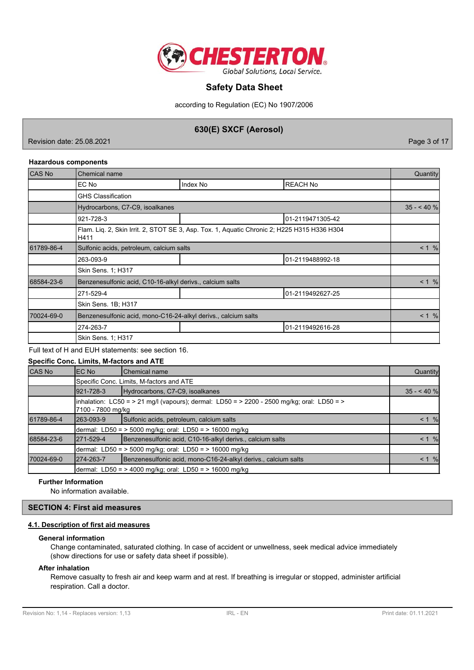

according to Regulation (EC) No 1907/2006

# **630(E) SXCF (Aerosol)**

Revision date: 25.08.2021 **Page 3 of 17** 

## **Hazardous components**

| <b>CAS No</b> | Chemical name                                                                                       |          |                  |  |  |
|---------------|-----------------------------------------------------------------------------------------------------|----------|------------------|--|--|
|               | EC No                                                                                               | Index No | <b>REACH No</b>  |  |  |
|               | <b>GHS Classification</b>                                                                           |          |                  |  |  |
|               | Hydrocarbons, C7-C9, isoalkanes                                                                     |          | $35 - 40%$       |  |  |
|               | 921-728-3                                                                                           |          | 01-2119471305-42 |  |  |
|               | Flam. Liq. 2, Skin Irrit. 2, STOT SE 3, Asp. Tox. 1, Aquatic Chronic 2; H225 H315 H336 H304<br>H411 |          |                  |  |  |
| 61789-86-4    | Sulfonic acids, petroleum, calcium salts                                                            |          |                  |  |  |
|               | 263-093-9                                                                                           |          | 01-2119488992-18 |  |  |
|               | Skin Sens. 1; H317                                                                                  |          |                  |  |  |
| 68584-23-6    | Benzenesulfonic acid, C10-16-alkyl derivs., calcium salts                                           |          | < 1 %            |  |  |
|               | 271-529-4                                                                                           |          | 01-2119492627-25 |  |  |
|               | Skin Sens. 1B; H317                                                                                 |          |                  |  |  |
| 70024-69-0    | Benzenesulfonic acid, mono-C16-24-alkyl derivs., calcium salts                                      |          |                  |  |  |
|               | 274-263-7                                                                                           |          | 01-2119492616-28 |  |  |
|               | <b>Skin Sens. 1: H317</b>                                                                           |          |                  |  |  |

### Full text of H and EUH statements: see section 16.

|               |                                                                                                                 | Specific Conc. Limits, M-factors and ATE                       |          |  |  |  |  |  |
|---------------|-----------------------------------------------------------------------------------------------------------------|----------------------------------------------------------------|----------|--|--|--|--|--|
| <b>CAS No</b> | EC No                                                                                                           | lChemical name                                                 | Quantity |  |  |  |  |  |
|               | Specific Conc. Limits, M-factors and ATE                                                                        |                                                                |          |  |  |  |  |  |
|               | Hydrocarbons, C7-C9, isoalkanes<br>921-728-3                                                                    |                                                                |          |  |  |  |  |  |
|               | inhalation: LC50 = > 21 mg/l (vapours); dermal: LD50 = > 2200 - 2500 mg/kg; oral: LD50 = ><br>7100 - 7800 mg/kg |                                                                |          |  |  |  |  |  |
| 61789-86-4    | 263-093-9                                                                                                       | Sulfonic acids, petroleum, calcium salts                       | < 1 %    |  |  |  |  |  |
|               |                                                                                                                 | dermal: LD50 = $>$ 5000 mg/kg; oral: LD50 = $>$ 16000 mg/kg    |          |  |  |  |  |  |
| 68584-23-6    | 1271-529-4                                                                                                      | Benzenesulfonic acid, C10-16-alkyl derivs., calcium salts      | < 1 %    |  |  |  |  |  |
|               |                                                                                                                 | dermal: LD50 = $>$ 5000 mg/kg; oral: LD50 = $>$ 16000 mg/kg    |          |  |  |  |  |  |
| 70024-69-0    | 274-263-7                                                                                                       | Benzenesulfonic acid, mono-C16-24-alkyl derivs., calcium salts | $< 1 \%$ |  |  |  |  |  |
|               |                                                                                                                 | dermal: LD50 = $>$ 4000 mg/kg; oral: LD50 = $>$ 16000 mg/kg    |          |  |  |  |  |  |

### **Further Information**

No information available.

## **SECTION 4: First aid measures**

### **4.1. Description of first aid measures**

### **General information**

Change contaminated, saturated clothing. In case of accident or unwellness, seek medical advice immediately (show directions for use or safety data sheet if possible).

## **After inhalation**

Remove casualty to fresh air and keep warm and at rest. If breathing is irregular or stopped, administer artificial respiration. Call a doctor.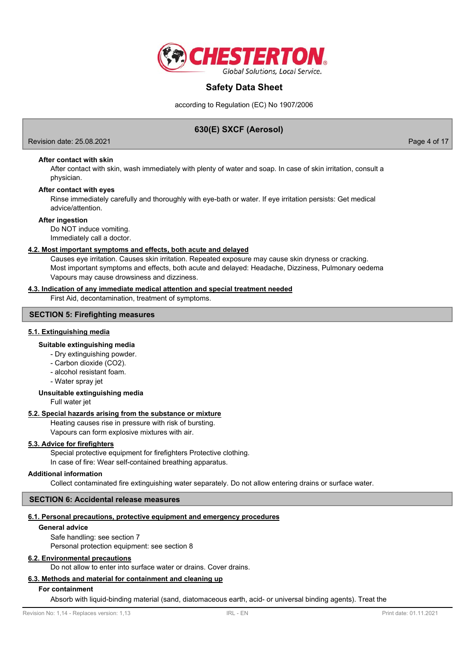

according to Regulation (EC) No 1907/2006

# **630(E) SXCF (Aerosol)**

Revision date: 25.08.2021 **Page 4 of 17** No. 2021

**After contact with skin**

After contact with skin, wash immediately with plenty of water and soap. In case of skin irritation, consult a physician.

#### **After contact with eyes**

Rinse immediately carefully and thoroughly with eye-bath or water. If eye irritation persists: Get medical advice/attention.

#### **After ingestion**

Do NOT induce vomiting. Immediately call a doctor.

### **4.2. Most important symptoms and effects, both acute and delayed**

Causes eye irritation. Causes skin irritation. Repeated exposure may cause skin dryness or cracking. Most important symptoms and effects, both acute and delayed: Headache, Dizziness, Pulmonary oedema Vapours may cause drowsiness and dizziness.

### **4.3. Indication of any immediate medical attention and special treatment needed**

First Aid, decontamination, treatment of symptoms.

## **SECTION 5: Firefighting measures**

### **5.1. Extinguishing media**

## **Suitable extinguishing media**

- Dry extinguishing powder.
- Carbon dioxide (CO2).
- alcohol resistant foam.
- Water spray jet

### **Unsuitable extinguishing media**

Full water jet

### **5.2. Special hazards arising from the substance or mixture**

Heating causes rise in pressure with risk of bursting. Vapours can form explosive mixtures with air.

### **5.3. Advice for firefighters**

Special protective equipment for firefighters Protective clothing. In case of fire: Wear self-contained breathing apparatus.

### **Additional information**

Collect contaminated fire extinguishing water separately. Do not allow entering drains or surface water.

### **SECTION 6: Accidental release measures**

### **6.1. Personal precautions, protective equipment and emergency procedures**

## **General advice**

Safe handling: see section 7 Personal protection equipment: see section 8

## **6.2. Environmental precautions**

Do not allow to enter into surface water or drains. Cover drains.

# **6.3. Methods and material for containment and cleaning up**

## **For containment**

Absorb with liquid-binding material (sand, diatomaceous earth, acid- or universal binding agents). Treat the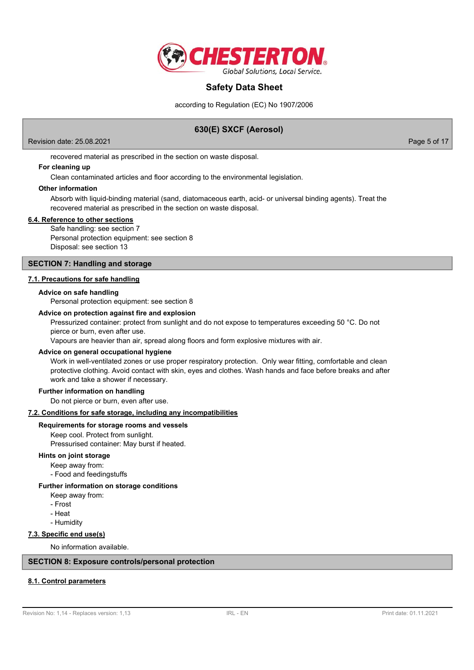

according to Regulation (EC) No 1907/2006

# **630(E) SXCF (Aerosol)**

Revision date: 25.08.2021 **Page 5 of 17** No. 2021

recovered material as prescribed in the section on waste disposal.

## **For cleaning up**

Clean contaminated articles and floor according to the environmental legislation.

### **Other information**

Absorb with liquid-binding material (sand, diatomaceous earth, acid- or universal binding agents). Treat the recovered material as prescribed in the section on waste disposal.

### **6.4. Reference to other sections**

Safe handling: see section 7 Personal protection equipment: see section 8 Disposal: see section 13

### **SECTION 7: Handling and storage**

### **7.1. Precautions for safe handling**

### **Advice on safe handling**

Personal protection equipment: see section 8

### **Advice on protection against fire and explosion**

Pressurized container: protect from sunlight and do not expose to temperatures exceeding 50 °C. Do not pierce or burn, even after use.

Vapours are heavier than air, spread along floors and form explosive mixtures with air.

### **Advice on general occupational hygiene**

Work in well-ventilated zones or use proper respiratory protection. Only wear fitting, comfortable and clean protective clothing. Avoid contact with skin, eyes and clothes. Wash hands and face before breaks and after work and take a shower if necessary.

### **Further information on handling**

Do not pierce or burn, even after use.

### **7.2. Conditions for safe storage, including any incompatibilities**

### **Requirements for storage rooms and vessels**

Keep cool. Protect from sunlight. Pressurised container: May burst if heated.

### **Hints on joint storage**

Keep away from: - Food and feedingstuffs

### **Further information on storage conditions**

- Keep away from:
- Frost
- Heat
- Humidity

### **7.3. Specific end use(s)**

No information available.

### **SECTION 8: Exposure controls/personal protection**

# **8.1. Control parameters**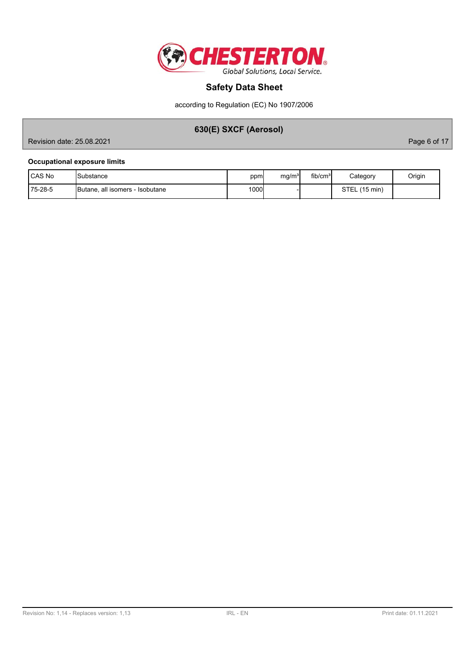

according to Regulation (EC) No 1907/2006

# **630(E) SXCF (Aerosol)**

Revision date: 25.08.2021 **Page 6 of 17** 

## **Occupational exposure limits**

| <b>CAS No</b>  | <b>I</b> Substance                      | ppm  | mg/m <sup>3</sup> | fib/cm <sup>3</sup> | Category                    | Origin |
|----------------|-----------------------------------------|------|-------------------|---------------------|-----------------------------|--------|
| $175 - 28 - 5$ | <b>IButane, all isomers - Isobutane</b> | 1000 |                   |                     | STEL(<br>$(15 \text{ min})$ |        |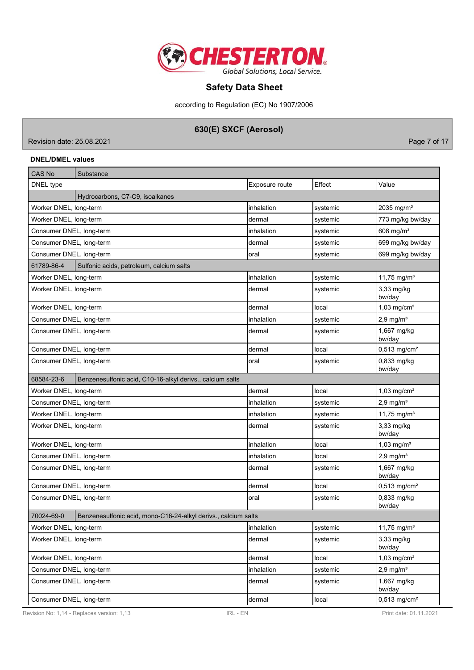

according to Regulation (EC) No 1907/2006

# **630(E) SXCF (Aerosol)**

Revision date: 25.08.2021 **Page 7 of 17** New York 2014 12:00 New York 2014 12:00 New York 2014 12:00 New York 2014

## **DNEL/DMEL values**

| <b>CAS No</b>            | Substance                                                      |                |          |                            |
|--------------------------|----------------------------------------------------------------|----------------|----------|----------------------------|
| DNEL type                |                                                                | Exposure route | Effect   | Value                      |
|                          | Hydrocarbons, C7-C9, isoalkanes                                |                |          |                            |
| Worker DNEL, long-term   |                                                                | inhalation     | systemic | 2035 mg/m <sup>3</sup>     |
| Worker DNEL, long-term   |                                                                | dermal         | systemic | 773 mg/kg bw/day           |
| Consumer DNEL, long-term |                                                                | inhalation     | systemic | 608 mg/m <sup>3</sup>      |
| Consumer DNEL, long-term |                                                                | dermal         | systemic | 699 mg/kg bw/day           |
| Consumer DNEL, long-term |                                                                | oral           | systemic | 699 mg/kg bw/day           |
| 61789-86-4               | Sulfonic acids, petroleum, calcium salts                       |                |          |                            |
| Worker DNEL, long-term   |                                                                | inhalation     | systemic | 11,75 mg/m <sup>3</sup>    |
| Worker DNEL, long-term   |                                                                | dermal         | systemic | 3,33 mg/kg<br>bw/day       |
| Worker DNEL, long-term   |                                                                | dermal         | local    | $1,03$ mg/cm <sup>2</sup>  |
| Consumer DNEL, long-term |                                                                | inhalation     | systemic | $2,9$ mg/m <sup>3</sup>    |
| Consumer DNEL, long-term |                                                                | dermal         | systemic | 1,667 mg/kg<br>bw/day      |
| Consumer DNEL, long-term |                                                                | dermal         | local    | $0,513$ mg/cm <sup>2</sup> |
| Consumer DNEL, long-term |                                                                | oral           | systemic | 0,833 mg/kg<br>bw/day      |
| 68584-23-6               | Benzenesulfonic acid, C10-16-alkyl derivs., calcium salts      |                |          |                            |
| Worker DNEL, long-term   |                                                                | dermal         | local    | $1,03$ mg/cm <sup>2</sup>  |
| Consumer DNEL, long-term |                                                                | inhalation     | systemic | $2,9$ mg/m <sup>3</sup>    |
| Worker DNEL, long-term   |                                                                | inhalation     | systemic | 11,75 mg/m <sup>3</sup>    |
| Worker DNEL, long-term   |                                                                | dermal         | systemic | 3,33 mg/kg<br>bw/day       |
| Worker DNEL, long-term   |                                                                | inhalation     | local    | $1,03$ mg/m <sup>3</sup>   |
| Consumer DNEL, long-term |                                                                | inhalation     | local    | $2,9$ mg/m <sup>3</sup>    |
| Consumer DNEL, long-term |                                                                | dermal         | systemic | 1,667 mg/kg<br>bw/day      |
| Consumer DNEL, long-term |                                                                | dermal         | local    | $0,513$ mg/cm <sup>2</sup> |
| Consumer DNEL, long-term |                                                                | oral           | systemic | 0,833 mg/kg<br>bw/day      |
| 70024-69-0               | Benzenesulfonic acid, mono-C16-24-alkyl derivs., calcium salts |                |          |                            |
| Worker DNEL, long-term   |                                                                | inhalation     | systemic | 11,75 mg/m <sup>3</sup>    |
| Worker DNEL, long-term   |                                                                | dermal         | systemic | 3,33 mg/kg<br>bw/day       |
| Worker DNEL, long-term   |                                                                | dermal         | local    | $1,03$ mg/cm <sup>2</sup>  |
| Consumer DNEL, long-term |                                                                | inhalation     | systemic | $2,9$ mg/m <sup>3</sup>    |
| Consumer DNEL, long-term |                                                                | dermal         | systemic | 1,667 mg/kg<br>bw/day      |
| Consumer DNEL, long-term |                                                                | dermal         | local    | $0,513$ mg/cm <sup>2</sup> |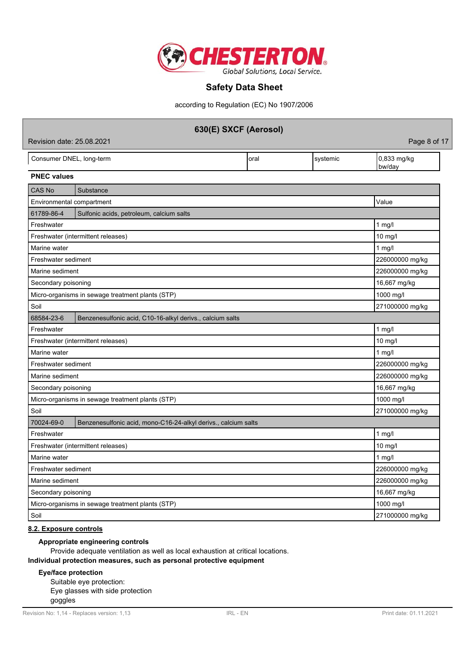

according to Regulation (EC) No 1907/2006

| 630(E) SXCF (Aerosol)     |                                                                |      |          |                       |  |  |  |  |
|---------------------------|----------------------------------------------------------------|------|----------|-----------------------|--|--|--|--|
|                           | Revision date: 25.08.2021<br>Page 8 of 17                      |      |          |                       |  |  |  |  |
| Consumer DNEL, long-term  |                                                                | oral | systemic | 0,833 mg/kg<br>bw/day |  |  |  |  |
| <b>PNEC values</b>        |                                                                |      |          |                       |  |  |  |  |
| <b>CAS No</b>             | Substance                                                      |      |          |                       |  |  |  |  |
| Environmental compartment |                                                                |      |          | Value                 |  |  |  |  |
| 61789-86-4                | Sulfonic acids, petroleum, calcium salts                       |      |          |                       |  |  |  |  |
| Freshwater                |                                                                |      |          | 1 $mg/l$              |  |  |  |  |
|                           | Freshwater (intermittent releases)                             |      |          | 10 mg/l               |  |  |  |  |
| Marine water              |                                                                |      |          | $1$ mg/l              |  |  |  |  |
| Freshwater sediment       |                                                                |      |          | 226000000 mg/kg       |  |  |  |  |
| Marine sediment           |                                                                |      |          | 226000000 mg/kg       |  |  |  |  |
| Secondary poisoning       |                                                                |      |          | 16,667 mg/kg          |  |  |  |  |
|                           | Micro-organisms in sewage treatment plants (STP)               |      |          | 1000 mg/l             |  |  |  |  |
| Soil                      |                                                                |      |          | 271000000 mg/kg       |  |  |  |  |
| 68584-23-6                | Benzenesulfonic acid, C10-16-alkyl derivs., calcium salts      |      |          |                       |  |  |  |  |
| Freshwater                |                                                                |      |          | $1$ mg/l              |  |  |  |  |
|                           | Freshwater (intermittent releases)                             |      |          | $10$ mg/l             |  |  |  |  |
| Marine water              |                                                                |      |          | 1 $mg/l$              |  |  |  |  |
| Freshwater sediment       |                                                                |      |          | 226000000 mg/kg       |  |  |  |  |
| Marine sediment           |                                                                |      |          | 226000000 mg/kg       |  |  |  |  |
| Secondary poisoning       |                                                                |      |          | 16,667 mg/kg          |  |  |  |  |
|                           | Micro-organisms in sewage treatment plants (STP)               |      |          | 1000 mg/l             |  |  |  |  |
| Soil                      |                                                                |      |          | 271000000 mg/kg       |  |  |  |  |
| 70024-69-0                | Benzenesulfonic acid, mono-C16-24-alkyl derivs., calcium salts |      |          |                       |  |  |  |  |
| Freshwater                |                                                                |      |          | 1 mg/l                |  |  |  |  |
|                           | Freshwater (intermittent releases)                             |      |          | 10 mg/l               |  |  |  |  |
| Marine water              | 1 $mg/l$                                                       |      |          |                       |  |  |  |  |
| Freshwater sediment       | 226000000 mg/kg                                                |      |          |                       |  |  |  |  |
| Marine sediment           |                                                                |      |          | 226000000 mg/kg       |  |  |  |  |
| Secondary poisoning       |                                                                |      |          | 16,667 mg/kg          |  |  |  |  |
|                           | Micro-organisms in sewage treatment plants (STP)               |      |          | 1000 mg/l             |  |  |  |  |
| Soil                      |                                                                |      |          | 271000000 mg/kg       |  |  |  |  |

## **8.2. Exposure controls**

# **Appropriate engineering controls**

Provide adequate ventilation as well as local exhaustion at critical locations.

## **Individual protection measures, such as personal protective equipment**

## **Eye/face protection**

Suitable eye protection: Eye glasses with side protection goggles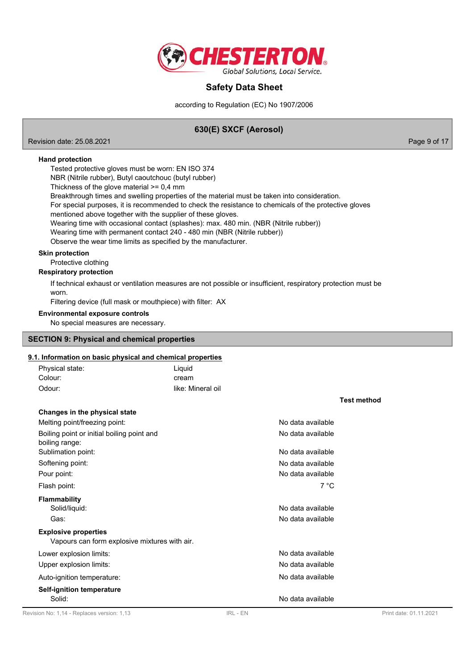

according to Regulation (EC) No 1907/2006

# **630(E) SXCF (Aerosol)**

Revision date: 25.08.2021 **Page 9 of 17** No. 2021

**Hand protection**

Tested protective gloves must be worn: EN ISO 374

NBR (Nitrile rubber), Butyl caoutchouc (butyl rubber)

Thickness of the glove material  $>= 0.4$  mm

Breakthrough times and swelling properties of the material must be taken into consideration.

For special purposes, it is recommended to check the resistance to chemicals of the protective gloves

mentioned above together with the supplier of these gloves.

Wearing time with occasional contact (splashes): max. 480 min. (NBR (Nitrile rubber))

Wearing time with permanent contact 240 - 480 min (NBR (Nitrile rubber))

Observe the wear time limits as specified by the manufacturer.

## **Skin protection**

Protective clothing

## **Respiratory protection**

If technical exhaust or ventilation measures are not possible or insufficient, respiratory protection must be worn.

Filtering device (full mask or mouthpiece) with filter: AX

## **Environmental exposure controls**

No special measures are necessary.

## **SECTION 9: Physical and chemical properties**

### **9.1. Information on basic physical and chemical properties**

| Revision No: 1,14 - Replaces version: 1,13                                   | IRL - EN          |                                        | Print date: 01.11.2021 |
|------------------------------------------------------------------------------|-------------------|----------------------------------------|------------------------|
| Self-ignition temperature<br>Solid:                                          |                   | No data available                      |                        |
| Auto-ignition temperature:                                                   |                   | No data available                      |                        |
| Upper explosion limits:                                                      |                   | No data available                      |                        |
| Lower explosion limits:                                                      |                   | No data available                      |                        |
| <b>Explosive properties</b><br>Vapours can form explosive mixtures with air. |                   |                                        |                        |
| Gas:                                                                         |                   | No data available                      |                        |
| <b>Flammability</b><br>Solid/liquid:                                         |                   | No data available                      |                        |
| Flash point:                                                                 |                   | 7 °C                                   |                        |
| Pour point:                                                                  |                   | No data available                      |                        |
| Softening point:                                                             |                   | No data available                      |                        |
| boiling range:<br>Sublimation point:                                         |                   | No data available                      |                        |
| Melting point/freezing point:<br>Boiling point or initial boiling point and  |                   | No data available<br>No data available |                        |
| Changes in the physical state                                                |                   |                                        |                        |
|                                                                              |                   |                                        | <b>Test method</b>     |
| Odour:                                                                       | like: Mineral oil |                                        |                        |
| Colour:                                                                      | cream             |                                        |                        |
| Physical state:                                                              | Liquid            |                                        |                        |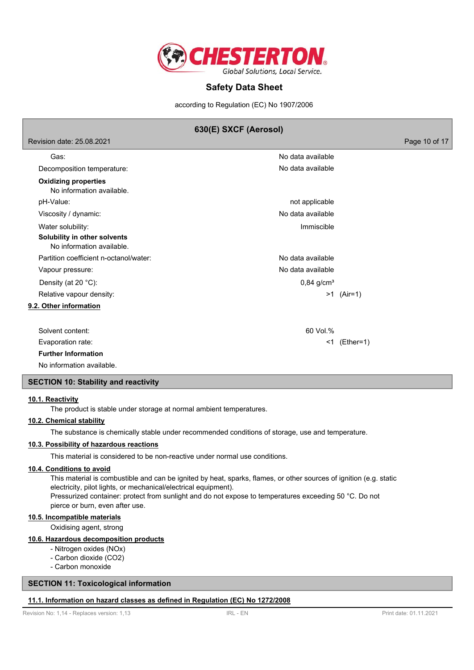

according to Regulation (EC) No 1907/2006

# **630(E) SXCF (Aerosol)**

Revision date: 25.08.2021 Page 10 of 17

| Gas:                                                      | No data available        |              |
|-----------------------------------------------------------|--------------------------|--------------|
| Decomposition temperature:                                | No data available        |              |
| <b>Oxidizing properties</b><br>No information available.  |                          |              |
| pH-Value:                                                 | not applicable           |              |
| Viscosity / dynamic:                                      | No data available        |              |
| Water solubility:                                         | Immiscible               |              |
| Solubility in other solvents<br>No information available. |                          |              |
| Partition coefficient n-octanol/water:                    | No data available        |              |
| Vapour pressure:                                          | No data available        |              |
| Density (at 20 °C):                                       | $0,84$ g/cm <sup>3</sup> |              |
| Relative vapour density:                                  |                          | $>1$ (Air=1) |
| 9.2. Other information                                    |                          |              |
|                                                           |                          |              |
| Solvent content:                                          | 60 Vol.%                 |              |
| Evaporation rate:                                         | <1                       | (Ether=1)    |
| <b>Further Information</b>                                |                          |              |

No information available.

### **SECTION 10: Stability and reactivity**

### **10.1. Reactivity**

The product is stable under storage at normal ambient temperatures.

### **10.2. Chemical stability**

The substance is chemically stable under recommended conditions of storage, use and temperature.

### **10.3. Possibility of hazardous reactions**

This material is considered to be non-reactive under normal use conditions.

### **10.4. Conditions to avoid**

This material is combustible and can be ignited by heat, sparks, flames, or other sources of ignition (e.g. static electricity, pilot lights, or mechanical/electrical equipment). Pressurized container: protect from sunlight and do not expose to temperatures exceeding 50 °C. Do not

# pierce or burn, even after use.

### **10.5. Incompatible materials**

Oxidising agent, strong

## **10.6. Hazardous decomposition products**

- Nitrogen oxides (NOx)
- Carbon dioxide (CO2)
- Carbon monoxide

### **SECTION 11: Toxicological information**

### **11.1. Information on hazard classes as defined in Regulation (EC) No 1272/2008**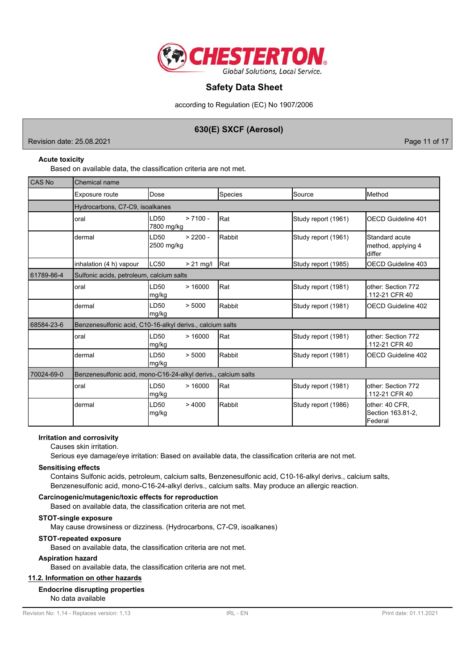

according to Regulation (EC) No 1907/2006

# **630(E) SXCF (Aerosol)**

Revision date: 25.08.2021 Page 11 of 17

## **Acute toxicity**

Based on available data, the classification criteria are not met.

| <b>CAS No</b> | <b>Chemical name</b>                                           |                                |             |              |                     |                                                |  |
|---------------|----------------------------------------------------------------|--------------------------------|-------------|--------------|---------------------|------------------------------------------------|--|
|               | Exposure route                                                 | Dose                           |             | Species      | Source              | Method                                         |  |
|               | Hydrocarbons, C7-C9, isoalkanes                                |                                |             |              |                     |                                                |  |
|               | oral                                                           | LD <sub>50</sub><br>7800 mg/kg | $> 7100 -$  | Rat          | Study report (1961) | <b>OECD Guideline 401</b>                      |  |
|               | dermal                                                         | LD50<br>2500 mg/kg             | $> 2200 -$  | Rabbit       | Study report (1961) | Standard acute<br>method, applying 4<br>differ |  |
|               | inhalation (4 h) vapour                                        | LC50                           | $> 21$ mg/l | <b>I</b> Rat | Study report (1985) | OECD Guideline 403                             |  |
| 61789-86-4    | Sulfonic acids, petroleum, calcium salts                       |                                |             |              |                     |                                                |  |
|               | oral                                                           | LD <sub>50</sub><br>mg/kg      | >16000      | Rat          | Study report (1981) | lother: Section 772<br>.112-21 CFR 40          |  |
|               | dermal                                                         | LD <sub>50</sub><br>mg/kg      | > 5000      | Rabbit       | Study report (1981) | OECD Guideline 402                             |  |
| 68584-23-6    | Benzenesulfonic acid, C10-16-alkyl derivs., calcium salts      |                                |             |              |                     |                                                |  |
|               | oral                                                           | LD <sub>50</sub><br>mg/kg      | >16000      | Rat          | Study report (1981) | other: Section 772<br>.112-21 CFR 40           |  |
|               | dermal                                                         | LD <sub>50</sub><br>mg/kg      | > 5000      | Rabbit       | Study report (1981) | OECD Guideline 402                             |  |
| 70024-69-0    | Benzenesulfonic acid, mono-C16-24-alkyl derivs., calcium salts |                                |             |              |                     |                                                |  |
|               | oral                                                           | LD <sub>50</sub><br>mg/kg      | >16000      | Rat          | Study report (1981) | lother: Section 772<br>.112-21 CFR 40          |  |
|               | dermal                                                         | LD <sub>50</sub><br>mg/kg      | >4000       | Rabbit       | Study report (1986) | other: 40 CFR,<br>Section 163.81-2,<br>Federal |  |

### **Irritation and corrosivity**

Causes skin irritation.

Serious eye damage/eye irritation: Based on available data, the classification criteria are not met.

### **Sensitising effects**

Contains Sulfonic acids, petroleum, calcium salts, Benzenesulfonic acid, C10-16-alkyl derivs., calcium salts, Benzenesulfonic acid, mono-C16-24-alkyl derivs., calcium salts. May produce an allergic reaction.

### **Carcinogenic/mutagenic/toxic effects for reproduction**

Based on available data, the classification criteria are not met.

### **STOT-single exposure**

May cause drowsiness or dizziness. (Hydrocarbons, C7-C9, isoalkanes)

### **STOT-repeated exposure**

Based on available data, the classification criteria are not met.

### **Aspiration hazard**

Based on available data, the classification criteria are not met.

### **11.2. Information on other hazards**

## **Endocrine disrupting properties**

No data available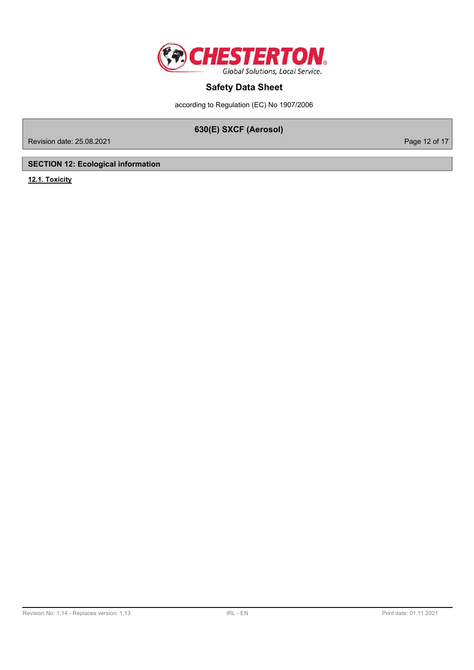

according to Regulation (EC) No 1907/2006

# **630(E) SXCF (Aerosol)**

Revision date: 25.08.2021 **Page 12 of 17** 

# **SECTION 12: Ecological information**

**12.1. Toxicity**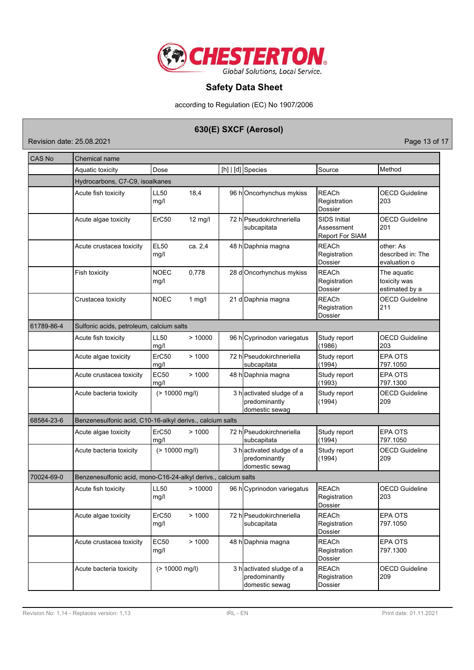

according to Regulation (EC) No 1907/2006

# **630(E) SXCF (Aerosol)**

Revision date: 25.08.2021 **Page 13 of 17** 

| CAS No     | Chemical name                                                  |                     |           |  |                                                             |                                                             |                                                |  |
|------------|----------------------------------------------------------------|---------------------|-----------|--|-------------------------------------------------------------|-------------------------------------------------------------|------------------------------------------------|--|
|            | Aquatic toxicity                                               | Dose                |           |  | $[h]   [d]$ Species                                         | Source                                                      | Method                                         |  |
|            | Hydrocarbons, C7-C9, isoalkanes                                |                     |           |  |                                                             |                                                             |                                                |  |
|            | Acute fish toxicity                                            | <b>LL50</b><br>mg/l | 18,4      |  | 96 hOncorhynchus mykiss                                     | <b>REACh</b><br>Registration<br>Dossier                     | <b>OECD Guideline</b><br>203                   |  |
|            | Acute algae toxicity                                           | ErC50               | $12$ mg/l |  | 72 hlPseudokirchneriella<br>subcapitata                     | <b>SIDS Initial</b><br>Assessment<br><b>Report For SIAM</b> | <b>OECD Guideline</b><br>201                   |  |
|            | Acute crustacea toxicity                                       | <b>EL50</b><br>mg/l | ca. 2,4   |  | 48 h Daphnia magna                                          | <b>REACh</b><br>Registration<br>Dossier                     | other: As<br>described in: The<br>evaluation o |  |
|            | Fish toxicity                                                  | <b>NOEC</b><br>mg/l | 0,778     |  | 28 dOncorhynchus mykiss                                     | <b>REACh</b><br>Registration<br>Dossier                     | The aquatic<br>toxicity was<br>estimated by a  |  |
|            | Crustacea toxicity                                             | <b>NOEC</b>         | $1$ mg/l  |  | 21 d Daphnia magna                                          | <b>REACh</b><br>Registration<br>Dossier                     | <b>OECD Guideline</b><br>211                   |  |
| 61789-86-4 | Sulfonic acids, petroleum, calcium salts                       |                     |           |  |                                                             |                                                             |                                                |  |
|            | Acute fish toxicity                                            | <b>LL50</b><br>mg/l | >10000    |  | 96 h Cyprinodon variegatus                                  | Study report<br>(1986)                                      | <b>OECD Guideline</b><br>203                   |  |
|            | Acute algae toxicity                                           | ErC50<br>mg/l       | >1000     |  | 72 hlPseudokirchneriella<br>subcapitata                     | Study report<br>(1994)                                      | <b>EPA OTS</b><br>797.1050                     |  |
|            | Acute crustacea toxicity                                       | <b>EC50</b><br>mg/l | >1000     |  | 48 h Daphnia magna                                          | Study report<br>(1993)                                      | <b>EPA OTS</b><br>797.1300                     |  |
|            | Acute bacteria toxicity                                        | (> 10000 mg/l)      |           |  | 3 hactivated sludge of a<br>predominantly<br>domestic sewag | Study report<br>(1994)                                      | <b>OECD Guideline</b><br>209                   |  |
| 68584-23-6 | Benzenesulfonic acid, C10-16-alkyl derivs., calcium salts      |                     |           |  |                                                             |                                                             |                                                |  |
|            | Acute algae toxicity                                           | ErC50<br>mq/l       | >1000     |  | 72 hlPseudokirchneriella<br>subcapitata                     | Study report<br>(1994)                                      | <b>EPA OTS</b><br>797.1050                     |  |
|            | Acute bacteria toxicity                                        | $(> 10000$ mg/l)    |           |  | 3 hactivated sludge of a<br>predominantly<br>domestic sewag | Study report<br>(1994)                                      | <b>OECD Guideline</b><br>209                   |  |
| 70024-69-0 | Benzenesulfonic acid, mono-C16-24-alkyl derivs., calcium salts |                     |           |  |                                                             |                                                             |                                                |  |
|            | Acute fish toxicity                                            | <b>LL50</b><br>mg/l | >10000    |  | 96 h Cyprinodon variegatus                                  | <b>REACh</b><br>Registration<br>Dossier                     | <b>OECD Guideline</b><br>203                   |  |
|            | Acute algae toxicity                                           | ErC50<br>mg/l       | >1000     |  | 72 h Pseudokirchneriella<br>subcapitata                     | REACh<br>Registration<br>Dossier                            | <b>EPA OTS</b><br>797.1050                     |  |
|            | Acute crustacea toxicity                                       | EC50<br>mg/l        | >1000     |  | 48 h Daphnia magna                                          | <b>REACh</b><br>Registration<br>Dossier                     | EPA OTS<br>797.1300                            |  |
|            | Acute bacteria toxicity                                        | (> 10000 mg/l)      |           |  | 3 hactivated sludge of a<br>predominantly<br>domestic sewag | <b>REACh</b><br>Registration<br>Dossier                     | <b>OECD Guideline</b><br>209                   |  |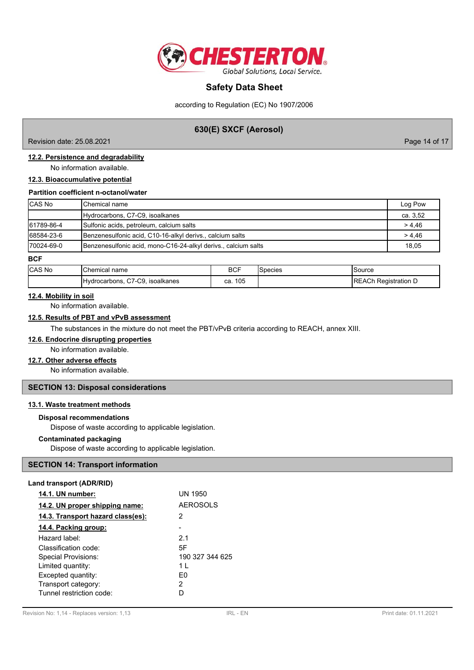

according to Regulation (EC) No 1907/2006

# **630(E) SXCF (Aerosol)**

Revision date: 25.08.2021 Page 14 of 17

## **12.2. Persistence and degradability**

No information available.

## **12.3. Bioaccumulative potential**

**Partition coefficient n-octanol/water**

| <b>CAS No</b> | <b>I</b> Chemical name                                         | Log Pow  |
|---------------|----------------------------------------------------------------|----------|
|               | Hydrocarbons, C7-C9, isoalkanes                                | ca. 3,52 |
| 61789-86-4    | Sulfonic acids, petroleum, calcium salts                       | > 4,46   |
| 68584-23-6    | Benzenesulfonic acid, C10-16-alkyl derivs., calcium salts      | > 4.46   |
| 170024-69-0   | Benzenesulfonic acid, mono-C16-24-alkyl derivs., calcium salts | 18.05    |

#### **BCF**

| <b>CAS No</b> | 'Chemical name                  | <b>BCF</b> | Species | Source                       |
|---------------|---------------------------------|------------|---------|------------------------------|
|               | Hydrocarbons, C7-C9, isoalkanes | 105<br>ca. |         | <b>IREACh Registration D</b> |

### **12.4. Mobility in soil**

No information available.

# **12.5. Results of PBT and vPvB assessment**

The substances in the mixture do not meet the PBT/vPvB criteria according to REACH, annex XIII.

## **12.6. Endocrine disrupting properties**

No information available.

# **12.7. Other adverse effects**

No information available.

## **SECTION 13: Disposal considerations**

### **13.1. Waste treatment methods**

### **Disposal recommendations**

Dispose of waste according to applicable legislation.

### **Contaminated packaging**

Dispose of waste according to applicable legislation.

## **SECTION 14: Transport information**

### **Land transport (ADR/RID)**

| 14.1. UN number:                  | <b>UN 1950</b>  |
|-----------------------------------|-----------------|
| 14.2. UN proper shipping name:    | <b>AEROSOLS</b> |
| 14.3. Transport hazard class(es): | 2               |
| 14.4. Packing group:              |                 |
| Hazard label:                     | 2.1             |
| Classification code:              | 5F              |
| <b>Special Provisions:</b>        | 190 327 344 625 |
| Limited quantity:                 | 1 I             |
| Excepted quantity:                | F٥              |
| Transport category:               | 2               |
| Tunnel restriction code:          |                 |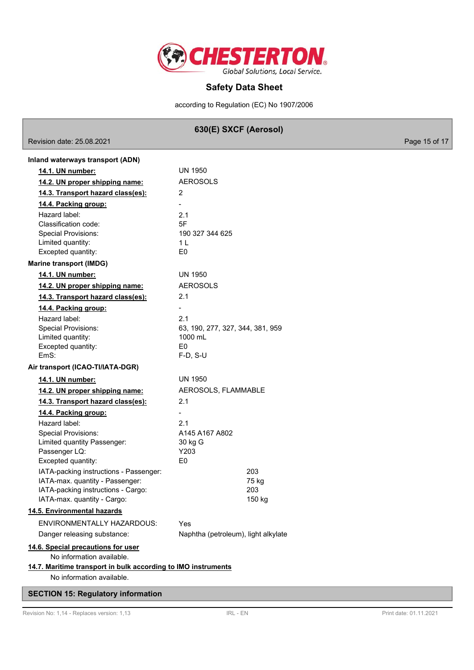

according to Regulation (EC) No 1907/2006

# **630(E) SXCF (Aerosol)**

Revision date: 25.08.2021 **Page 15 of 17** 

| Inland waterways transport (ADN)                                      |                                     |  |  |
|-----------------------------------------------------------------------|-------------------------------------|--|--|
| 14.1. UN number:                                                      | UN 1950                             |  |  |
| 14.2. UN proper shipping name:                                        | <b>AEROSOLS</b>                     |  |  |
| 14.3. Transport hazard class(es):                                     | 2                                   |  |  |
| 14.4. Packing group:                                                  |                                     |  |  |
| Hazard label:                                                         | 2.1                                 |  |  |
| Classification code:                                                  | 5F                                  |  |  |
| <b>Special Provisions:</b>                                            | 190 327 344 625                     |  |  |
| Limited quantity:                                                     | 1 L                                 |  |  |
| Excepted quantity:                                                    | E <sub>0</sub>                      |  |  |
| <b>Marine transport (IMDG)</b>                                        |                                     |  |  |
| 14.1. UN number:                                                      | <b>UN 1950</b>                      |  |  |
| 14.2. UN proper shipping name:                                        | <b>AEROSOLS</b>                     |  |  |
| 14.3. Transport hazard class(es):                                     | 2.1                                 |  |  |
| 14.4. Packing group:                                                  | $\overline{\phantom{a}}$            |  |  |
| Hazard label:                                                         | 2.1                                 |  |  |
| <b>Special Provisions:</b>                                            | 63, 190, 277, 327, 344, 381, 959    |  |  |
| Limited quantity:                                                     | 1000 mL                             |  |  |
| Excepted quantity:                                                    | E0                                  |  |  |
| EmS:                                                                  | $F-D$ , S-U                         |  |  |
| Air transport (ICAO-TI/IATA-DGR)                                      |                                     |  |  |
| 14.1. UN number:                                                      | <b>UN 1950</b>                      |  |  |
| 14.2. UN proper shipping name:                                        | AEROSOLS, FLAMMABLE                 |  |  |
| 14.3. Transport hazard class(es):                                     | 2.1                                 |  |  |
| 14.4. Packing group:                                                  |                                     |  |  |
| Hazard label:                                                         | 2.1                                 |  |  |
| <b>Special Provisions:</b>                                            | A145 A167 A802                      |  |  |
| Limited quantity Passenger:                                           | 30 kg G                             |  |  |
| Passenger LQ:                                                         | Y203                                |  |  |
| Excepted quantity:                                                    | E0                                  |  |  |
| IATA-packing instructions - Passenger:                                | 203                                 |  |  |
| IATA-max. quantity - Passenger:<br>IATA-packing instructions - Cargo: | 75 kg<br>203                        |  |  |
| IATA-max. quantity - Cargo:                                           | 150 kg                              |  |  |
| 14.5. Environmental hazards                                           |                                     |  |  |
|                                                                       |                                     |  |  |
| ENVIRONMENTALLY HAZARDOUS:                                            | Yes                                 |  |  |
| Danger releasing substance:                                           | Naphtha (petroleum), light alkylate |  |  |
| 14.6. Special precautions for user                                    |                                     |  |  |
| No information available.                                             |                                     |  |  |
| 14.7. Maritime transport in bulk according to IMO instruments         |                                     |  |  |
| No information available.                                             |                                     |  |  |

# **SECTION 15: Regulatory information**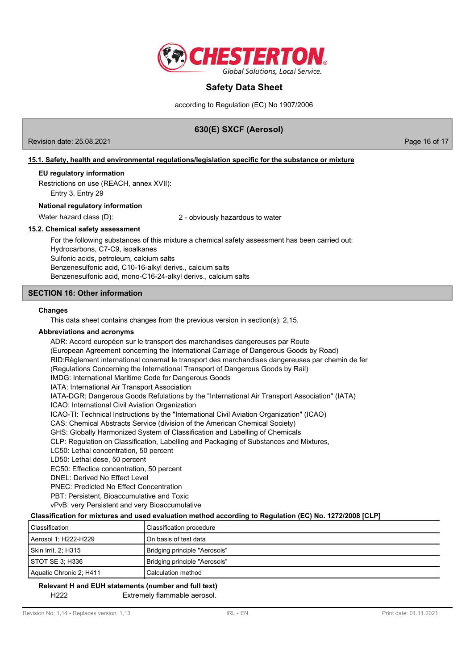

according to Regulation (EC) No 1907/2006

# **630(E) SXCF (Aerosol)**

Revision date: 25.08.2021 Page 16 of 17

## **15.1. Safety, health and environmental regulations/legislation specific for the substance or mixture**

### **EU regulatory information**

Restrictions on use (REACH, annex XVII): Entry 3, Entry 29

### **National regulatory information**

Water hazard class (D): <br>2 - obviously hazardous to water

## **15.2. Chemical safety assessment**

For the following substances of this mixture a chemical safety assessment has been carried out: Hydrocarbons, C7-C9, isoalkanes Sulfonic acids, petroleum, calcium salts Benzenesulfonic acid, C10-16-alkyl derivs., calcium salts Benzenesulfonic acid, mono-C16-24-alkyl derivs., calcium salts

## **SECTION 16: Other information**

### **Changes**

This data sheet contains changes from the previous version in section(s): 2,15.

### **Abbreviations and acronyms**

ADR: Accord européen sur le transport des marchandises dangereuses par Route (European Agreement concerning the International Carriage of Dangerous Goods by Road) RID:Règlement international conernat le transport des marchandises dangereuses par chemin de fer (Regulations Concerning the International Transport of Dangerous Goods by Rail) IMDG: International Maritime Code for Dangerous Goods IATA: International Air Transport Association IATA-DGR: Dangerous Goods Refulations by the "International Air Transport Association" (IATA) ICAO: International Civil Aviation Organization ICAO-TI: Technical Instructions by the "International Civil Aviation Organization" (ICAO) CAS: Chemical Abstracts Service (division of the American Chemical Society) GHS: Globally Harmonized System of Classification and Labelling of Chemicals CLP: Regulation on Classification, Labelling and Packaging of Substances and Mixtures, LC50: Lethal concentration, 50 percent LD50: Lethal dose, 50 percent EC50: Effectice concentration, 50 percent DNEL: Derived No Effect Level PNEC: Predicted No Effect Concentration PBT: Persistent, Bioaccumulative and Toxic

vPvB: very Persistent and very Bioaccumulative

### **Classification for mixtures and used evaluation method according to Regulation (EC) No. 1272/2008 [CLP]**

| Classification          | Classification procedure      |
|-------------------------|-------------------------------|
| Aerosol 1; H222-H229    | On basis of test data         |
| Skin Irrit. 2: H315     | Bridging principle "Aerosols" |
| STOT SE 3: H336         | Bridging principle "Aerosols" |
| Aquatic Chronic 2; H411 | Calculation method            |

### H222 Extremely flammable aerosol. **Relevant H and EUH statements (number and full text)**